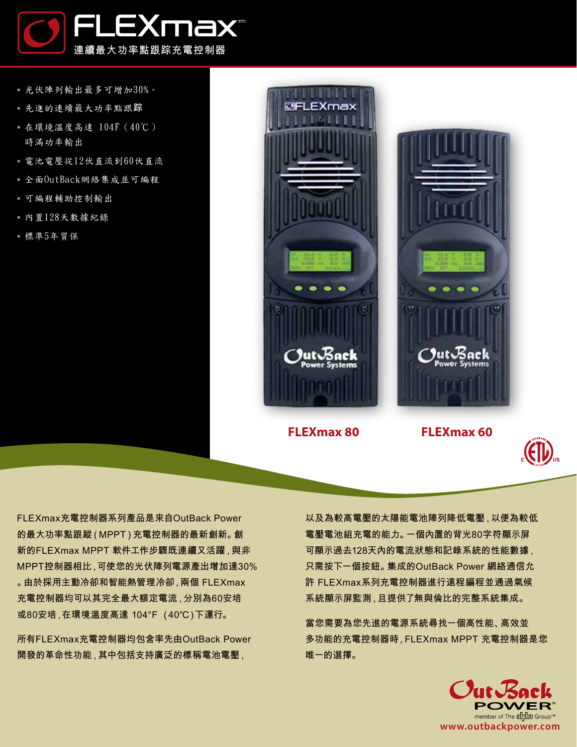

- **•** 光伏陣列輸出最多可增加30%。
- **•** 先進的連續最大功率點跟踪
- **•** 在環境溫度高達 104°F(40℃) 時滿功率輸出
- **•** 電池電壓從12伏直流到60伏直流
- **•** 全面OutBack網絡集成並可編程
- **•** 可編程輔助控制輸出
- **•** 內置128天數據紀錄
- **•** 標準5年質保



**FLEXmax 80 FLEXmax 60**

'ut√Sack



FLEXmax充電控制器系列產品是來自OutBack Power 的最大功率點跟蹤(MPPT)充電控制器的最新創新。創 新的FLEXmax MPPT 軟件工作步驟既連續又活躍,與非 MPPT控制器相比,可使您的光伏陣列電源產出增加達30% 。由於採用主動冷卻和智能熱管理冷卻,兩個 FLEXmax 充電控制器均可以其完全最大額定電流,分別為60安培 或80安培,在環境溫度高達 104°F (40℃)下運行。

所有FLEXmax充電控制器均包含率先由OutBack Power 開發的革命性功能,其中包括支持廣泛的標稱電池電壓,

以及為較高電壓的太陽能電池陣列降低電壓,以便為較低 電壓電池組充電的能力。一個內置的背光80字符顯示屏 可顯示過去128天內的電流狀態和記錄系統的性能數據, 只需按下一個按鈕。集成的OutBack Power 網絡通信允 許 FLEXmax系列充電控制器進行遠程編程並通過氣候 系統顯示屏監測,且提供了無與倫比的完整系統集成。

當您需要為您先進的電源系統尋找一個高性能、高效並 多功能的充電控制器時,FLEXmax MPPT 充電控制器是您 唯一的選擇。

> $Out$  $Ra$ member of The annimal Group™ **www.outbackpower.com**